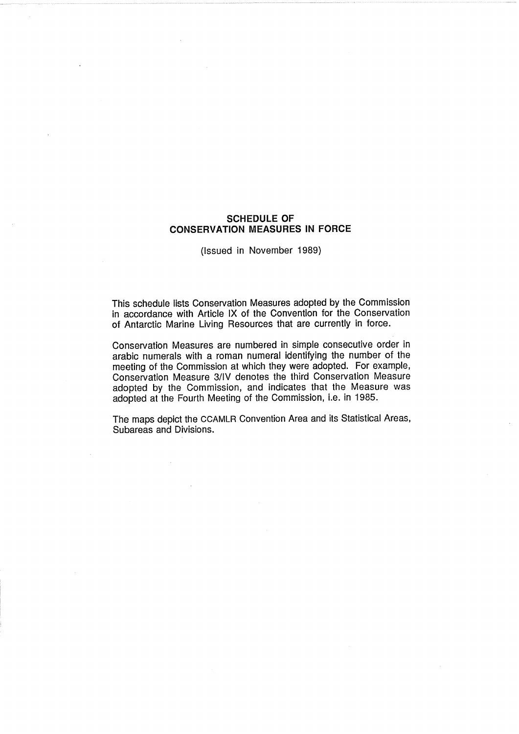# **SCHEDULE OF CONSERVATION MEASURES IN FORCE**

(Issued in November 1989)

This schedule lists Conservation Measures adopted by the Commission in accordance with Article IX of the Convention for the Conservation of Antarctic Marine Living Resources that are currently in force.

Conservation Measures are numbered in simple consecutive order in arabic numerals with a roman numeral identifying the number of the meeting of the Commission at which they were adopted. For example, Conservation Measure 3/IV denotes the third Conservation Measure adopted by the Commission, and indicates that the Measure was adopted at the Fourth Meeting of the Commission, i.e. in 1985.

The maps depict the CCAMLR Convention Area and its Statistical Areas, Subareas and Divisions.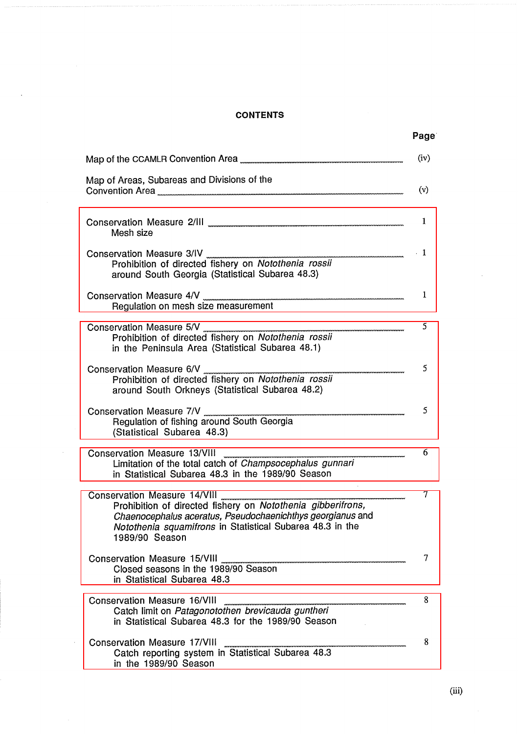# **CONTENTS**

 $\bar{\beta}$ 

 $\Delta \phi$ 

| <b>CONTENTS</b>                                                                                                                                                                                                                          | Page        |  |  |
|------------------------------------------------------------------------------------------------------------------------------------------------------------------------------------------------------------------------------------------|-------------|--|--|
| Map of the CCAMLR Convention Area                                                                                                                                                                                                        | (iv)<br>(v) |  |  |
| Mesh size                                                                                                                                                                                                                                |             |  |  |
| Conservation Measure 3/IV<br>Prohibition of directed fishery on Notothenia rossii<br>around South Georgia (Statistical Subarea 48.3)                                                                                                     |             |  |  |
| Conservation Measure 4/V<br>Regulation on mesh size measurement                                                                                                                                                                          |             |  |  |
| Conservation Measure 5/V<br>Prohibition of directed fishery on <i>Notothenia rossii</i><br>in the Peninsula Area (Statistical Subarea 48.1)                                                                                              |             |  |  |
| Conservation Measure 6/V<br>Prohibition of directed fishery on Notothenia rossii<br>around South Orkneys (Statistical Subarea 48.2)                                                                                                      |             |  |  |
| Conservation Measure 7/V<br>Regulation of fishing around South Georgia<br>(Statistical Subarea 48.3)                                                                                                                                     |             |  |  |
| Conservation Measure 13/VIII<br>Limitation of the total catch of <i>Champsocephalus gunnari</i><br>in Statistical Subarea 48.3 in the 1989/90 Season                                                                                     | -6          |  |  |
| Conservation Measure 14/VIII<br>Prohibition of directed fishery on Notothenia gibberifrons,<br>Chaenocephalus aceratus, Pseudochaenichthys georgianus and<br>Notothenia squamifrons in Statistical Subarea 48.3 in the<br>1989/90 Season | 7           |  |  |
| Conservation Measure 15/VIII<br>Closed seasons in the 1989/90 Season<br>in Statistical Subarea 48.3<br><b>Conservation Measure 16/VIII</b>                                                                                               |             |  |  |
| Catch limit on <i>Patagonotothen brevicauda guntheri</i><br>in Statistical Subarea 48.3 for the 1989/90 Season                                                                                                                           |             |  |  |
| Conservation Measure 17/VIII<br>Catch reporting system in Statistical Subarea 48.3<br>in the 1989/90 Season                                                                                                                              | (iii)       |  |  |
|                                                                                                                                                                                                                                          |             |  |  |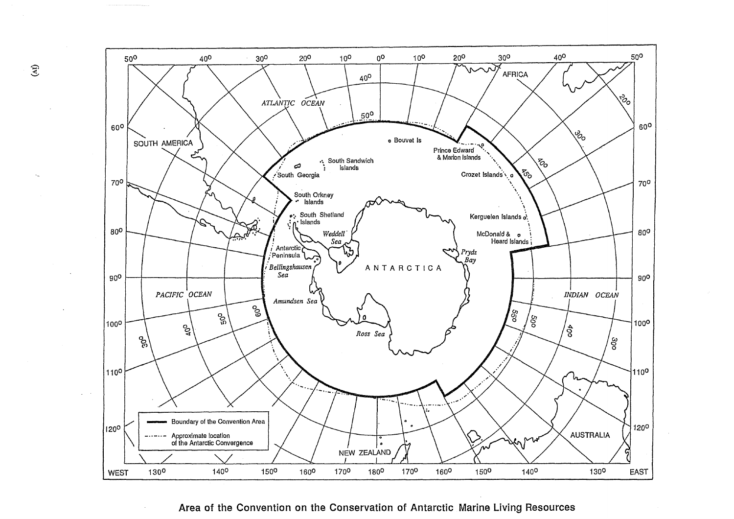

# Area of the Convention on the Conservation of Antarctic Marine Living Resources

 $\hat{E}$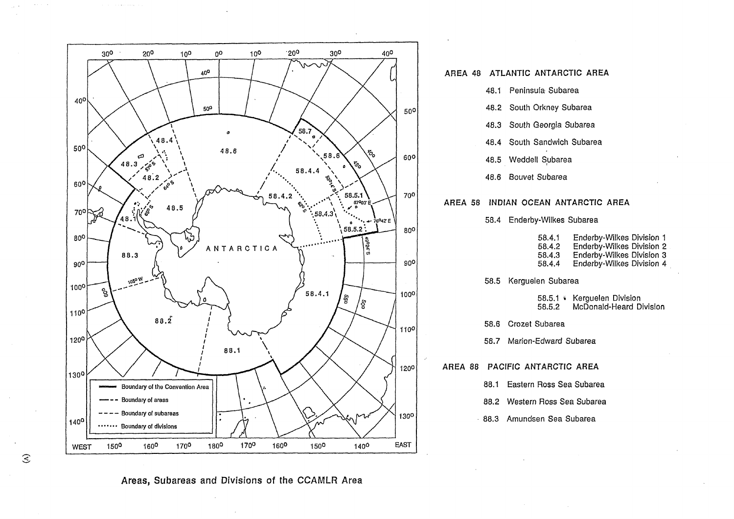

<u>in Liberatura</u>

 $\mathcal{E}$ 

#### **AREA 48 ATLANTIC ANTARCTIC AREA**

48.1 Peninsula Subarea

48.2 South Orkney Subarea

48.3 South Georgia Subarea

48.4 South Sandwich Subarea

48.5 Weddell Subarea

48.6 Bouvet Subarea

#### **AREA 58 INDIAN OCEAN ANTARCTIC AREA**

58.4 Enderby-Wilkes Subarea

58.4.1 Enderby-Wilkes Division 1 58.4.2 Enderby-Wilkes Division 2

58.4.3 Enderby-Wilkes Division 3

58.4.4 Enderby-Wilkes Division **4** 

58.5 Kerguelen Subarea

58.5.1 ¥ Kerguelen Division 58.5.2 McDonald-Heard Division

58.6 Crozet Subarea

58.7 Marion-Edward Subarea

**AREA 88 PACIFIC ANTARCTIC AREA** 

88.1 Eastern Ross Sea Subarea

88.2 Western Ross Sea Subarea

88.3 Arnundsen Sea Subarea

**Areas,** Subareas and Divisions of the CCAMLR Area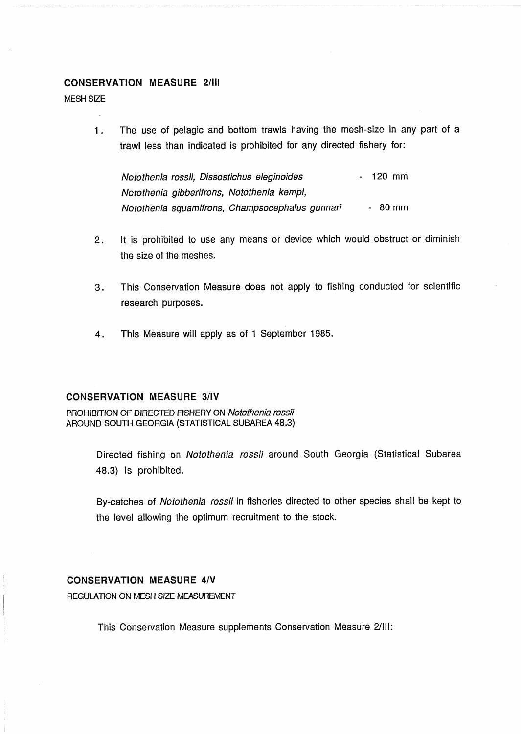# <span id="page-4-0"></span>**CONSERVATION MEASURE 2/III**

MESH SlZE

1. The use of pelagic and bottom trawls having the mesh-size in any part of a trawl less than indicated is prohibited for any directed fishery for:

Notothenia rossii, Dissostichus eleginoides - 120 mm Notothenia gibberifrons, Notothenia kempi, Notothenia squamifrons, Champsocephalus gunnari - 80 mm

- 2. It is prohibited to use any means or device which would obstruct or diminish the size of the meshes.
- 3. This Conservation Measure does not apply to fishing conducted for scientific research purposes.
- 4. This Measure will apply as of 1 September 1985.

# **CONSERVATION MEASURE 3lIV**

PROHIBITION OF DIRECTED FISHERY ON Notothenia rossii AROUND SOUTH GEORGIA (STATISTICAL SUBAREA 48.3)

> Directed fishing on Notothenia rossii around South Georgia (Statistical Subarea 48.3) is prohibited.

> By-catches of Notothenia rossii in fisheries directed to other species shall be kept to the level allowing the optimum recruitment to the stock.

# **CONSERVATION MEASURE 4/V**

REGULATION ON MESH SlZE MEASUREMENT

This Conservation Measure supplements Conservation Measure 2/III: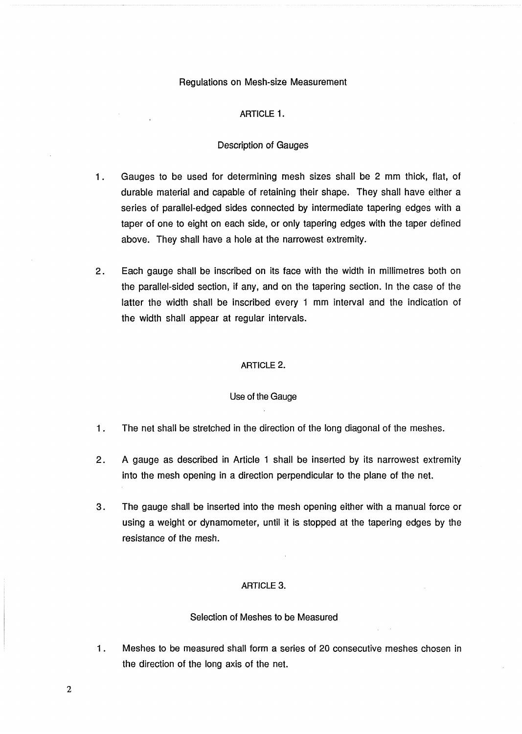#### Regulations on Mesh-size Measurement

# **ARTICLE** 1.

#### Description of Gauges

- 1 . Gauges to be used for determining mesh sizes shall be 2 mm thick, flat, of durable material and capable of retaining their shape. They shall have either a series of parallel-edged sides connected by intermediate tapering edges with a taper of one to eight on each side, or only tapering edges with the taper defined above. They shall have a hole at the narrowest extremity.
- 2. Each gauge shall be inscribed on its face with the width in millimetres both on the parallel-sided section, if any, and on the tapering section. In the case of the latter the width shall be inscribed every 1 mm interval and the indication of the width shall appear at regular intervals.

#### **ARTICLE** 2.

#### Use of the Gauge

- 1. The net shall be stretched in the direction of the long diagonal of the meshes.
- 2. A gauge as described in Article 1 shall be inserted by its narrowest extremity into the mesh opening in a direction perpendicular to the plane of the net.
- **3.** The gauge shall be inserted into the mesh opening either with a manual force or using a weight or dynamometer, until it is stopped at the tapering edges by the resistance of the mesh.

#### **ARTICLE 3.**

#### Selection of Meshes to be Measured

1. Meshes to be measured shall form a series of 20 consecutive meshes chosen in the direction of the long axis of the net.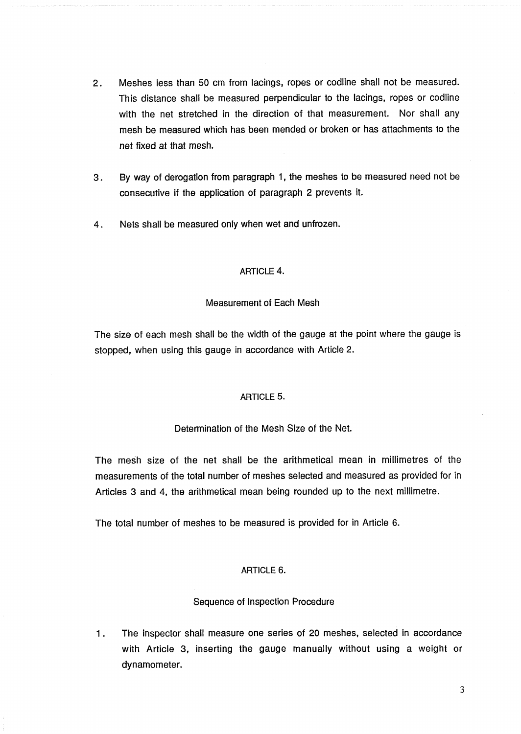- 2. Meshes less than 50 cm from lacings, ropes or codline shall not be measured. This distance shall be measured perpendicular to the lacings, ropes or codline with the net stretched in the direction of that measurement. Nor shall any mesh be measured which has been mended or broken or has attachments to the net fixed at that mesh.
- 3. By way of derogation from paragraph 1, the meshes to be measured need not be consecutive if the application of paragraph 2 prevents it.
- 4. Nets shall be measured only when wet and unfrozen.

# **ARTICLE** 4.

# Measurement of Each Mesh

The size of each mesh shall be the width of the gauge at the point where the gauge is stopped, when using this gauge in accordance with Article 2.

# **ARTICLE 5.**

# Determination of the Mesh Size of the Net.

The mesh size of the net shall be the arithmetical mean in millimetres of the measurements of the total number of meshes selected and measured as provided for in Articles 3 and 4, the arithmetical mean being rounded up to the next millimetre.

The total number of meshes to be measured is provided for in Article 6.

# **ARTICLE 6.**

# Sequence of Inspection Procedure

1. The inspector shall measure one series of 20 meshes, selected in accordance with Article 3, inserting the gauge manually without using a weight or dynamometer.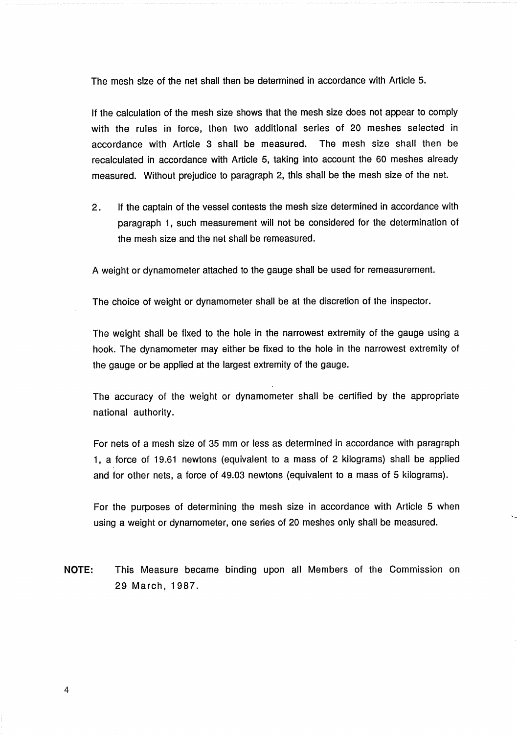The mesh size of the net shall then be determined in accordance with Article 5.

If the calculation of the mesh size shows that the mesh size does not appear to comply with the rules in force, then two additional series of 20 meshes selected in accordance with Article 3 shall be measured. The mesh size shall then be recalculated in accordance with Article 5, taking into account the 60 meshes already measured. Without prejudice to paragraph 2, this shall be the mesh size of the net.

2. If the captain of the vessel contests the mesh size determined in accordance with paragraph 1, such measurement will not be considered for the determination of the mesh size and the net shall be remeasured.

A weight or dynamometer attached to the gauge shall be used for remeasurement.

The choice of weight or dynamometer shall be at the discretion of the inspector.

The weight shall be fixed to the hole in the narrowest extremity of the gauge using a hook. The dynamometer may either be fixed to the hole in the narrowest extremity of the gauge or be applied at the largest extremity of the gauge.

The accuracy of the weight or dynamometer shall be certified by the appropriate national authority.

For nets of a mesh size of 35 mm or less as determined in accordance with paragraph 1, a force of 19.61 newtons (equivalent to a mass of 2 kilograms) shall be applied and for other nets, a force of 49.03 newtons (equivalent to a mass of 5 kilograms).

For the purposes of determining the mesh size in accordance with Article 5 when using a weight or dynamometer, one series of 20 meshes only shall be measured.

NOTE: This Measure became binding upon all Members of the Commission on 29 March, 1987.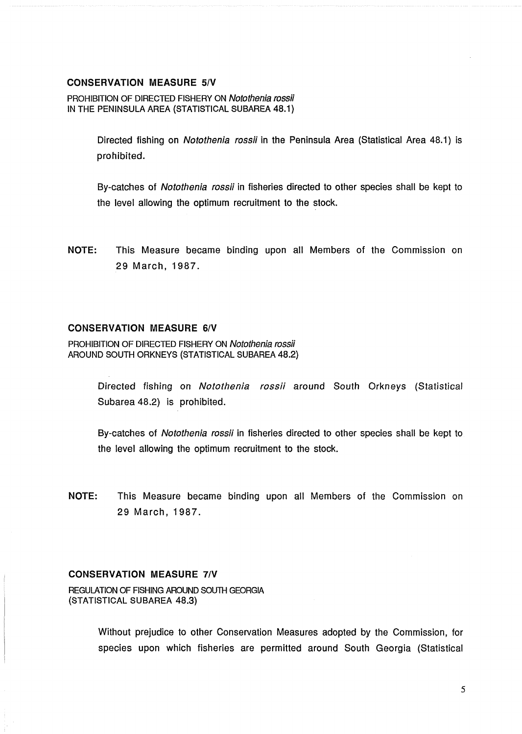# <span id="page-8-0"></span>**CONSERVATION MEASURE 5/V**

**PROHIBITION OF DIRECTED FISHERY ON** Notothenia rossii **IN THE PENINSULA AREA (STATISTICAL SUBAREA 48.1)** 

> Directed fishing on Notothenia rossii in the Peninsula Area (Statistical Area **48.1)** is prohibited.

> By-catches of Notothenia rossii in fisheries directed to other species shall be kept to the level allowing the optimum recruitment to the stock.

**NOTE:** This Measure became binding upon all Members of the Commission on **29** March, **1987.** 

# **CONSERVATION MEASURE 6/V**

**PROHIBITION OF DIRECTED FISHERY ON** Notothenia rossii **AROUND SOUTH ORKNEYS (STATISTICAL SUBAREA 48.2)** 

> Directed fishing on Notothenia rossii around South Orkneys (Statistical Subarea **48.2)** is prohibited.

> By-catches of Notothenia rossii in fisheries directed to other species shall be kept to the level allowing the optimum recruitment to the stock.

**NOTE:** This Measure became binding upon all Members of the Commission on **29** March, **1987.** 

# **CONSERVATlON MEASURE 71V**

**REGULATION OF FISHING AROUND SOUTH GEORGIA (STATISTICAL SUBAREA 48.3)** 

> Without prejudice to other Conservation Measures adopted by the Commission, for species upon which fisheries are permitted around South Georgia (Statistical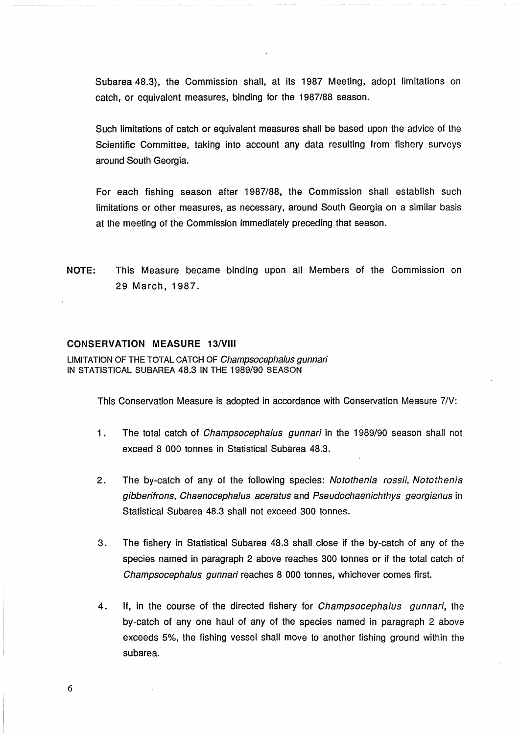<span id="page-9-0"></span>Subarea 48.3), the Commission shall, at its 1987 Meeting, adopt limitations on catch, or equivalent measures, binding for the 1987/88 season.

Such limitations of catch or equivalent measures shall be based upon the advice of the Scientific Committee, taking into account any data resulting from fishery surveys around South Georgia.

For each fishing season after 1987/88, the Commission shall establish such limitations or other measures, as necessary, around South Georgia on a similar basis at the meeting of the Commission immediately preceding that season.

**NOTE:** This Measure became binding upon all Members of the Commission on 29 March, 1987.

#### **CONSERVATION MEASURE 13/Vlll**

**LIMITATION OF THE TOTAL CATCH OF** Champsocephalus gunnari **IN STATISTICAL SUBAREA** 48.3 **IN THE** 1989190 **SEASON** 

This Conservation Measure is adopted in accordance with Conservation Measure 7/V:

- 1. The total catch of *Champsocephalus gunnari* in the 1989/90 season shall not exceed 8 000 tonnes in Statistical Subarea 48.3.
- 2. The by-catch of any of the following species: Notothenia rossii, Notothenia gibberifrons, Chaenocephalus aceratus and Pseudochaenichthys georgianus in Statistical Subarea 48.3 shall not exceed 300 tonnes.
- 3. The fishery in Statistical Subarea 48.3 shall close if the by-catch of any of the species named in paragraph 2 above reaches 300 tonnes or if the total catch of Champsocephalus gunnari reaches 8 000 tonnes, whichever comes first.
- 4. If, in the course of the directed fishery for *Champsocephalus gunnari*, the by-catch of any one haul of any of the species named in paragraph 2 above exceeds 5%, the fishing vessel shall move to another fishing ground within the subarea.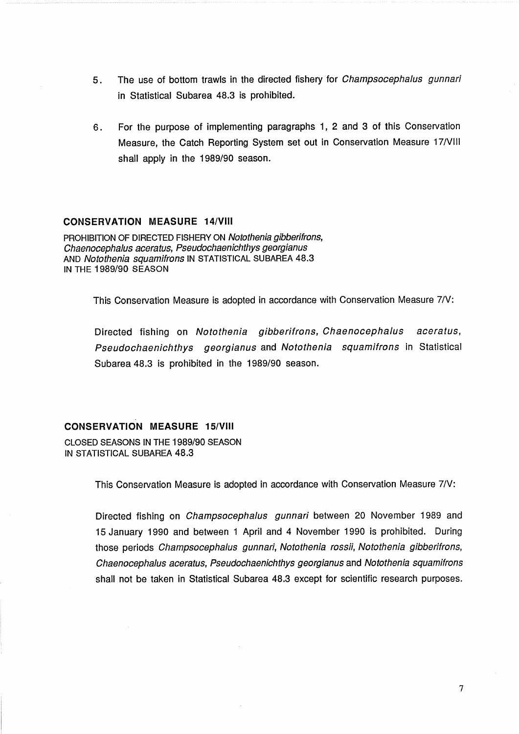- <span id="page-10-0"></span>5. The use of bottom trawls in the directed fishery for Champsocephalus gunnari in Statistical Subarea 48.3 is prohibited.
- **6.** For the purpose of implementing paragraphs 1, 2 and 3 of this Conservation Measure, the Catch Reporting System set out in Conservation Measure 17/VIII shall apply in the 1989/90 season.

# **CONSERVATION MEASURE 14/VIII**

PROHIBITION OF DIRECTED FISHERY ON Notothenia gibberifrons, Chaenocephalus aceratus, Pseudochaenichthys georgianus AND Notothenia squamifrons IN STATISTICAL SUBAREA 48.3 IN THE 1989/90 SEASON

This Conservation Measure is adopted in accordance with Conservation Measure 7/V:

Directed fishing on Notothenia gibberifrons, Chaenocephalus aceratus, Pseudochaenichthys georgianus and Notothenia squamifrons in Statistical Subarea 48.3 is prohibited in the 1989/90 season.

# **CONSERVATION MEASURE 15/VIII**

CLOSED SEASONS IN THE 1989/90 SEASON IN STATISTICAL SUBAREA 48.3

This Conservation Measure is adopted in accordance with Conservation Measure 7/V:

Directed fishing on Champsocephalus gunnari between 20 November 1989 and 15 January 1990 and between 1 April and 4 November 1990 is prohibited. During those periods Champsocephalus gunnari, Notothenia rossii, Notothenia gibberifrons, Chaenocephalus aceratus, Pseudochaenichthys georgianus and Notothenia squamifrons shall not be taken in Statistical Subarea 48.3 except for scientific research purposes.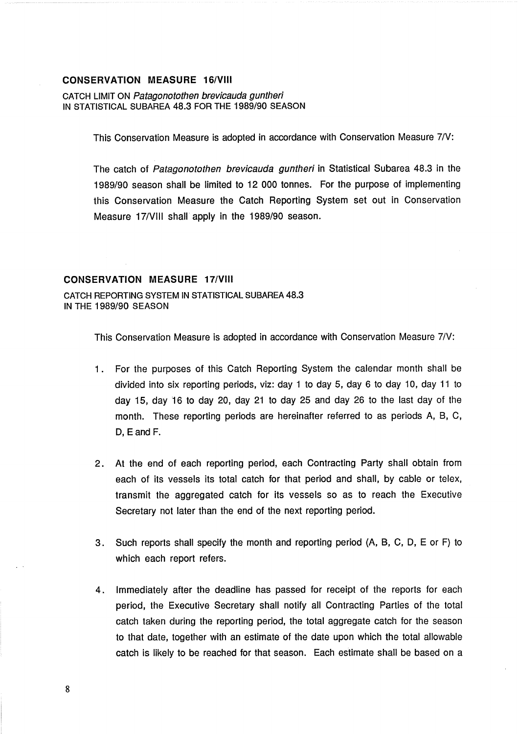# <span id="page-11-0"></span>**CONSERVATION MEASURE 16/VIII**

CATCH LIMIT ON Patagonotothen brevicauda guntheri IN STATISTICAL SUBAREA 48.3 FOR THE 1989/90 SEASON

This Conservation Measure is adopted in accordance with Conservation Measure 71V:

The catch of Patagonotothen brevicauda guntheri in Statistical Subarea 48.3 in the 1989190 season shall be limited to 12 000 tonnes. For the purpose of implementing this Conservation Measure the Catch Reporting System set out in Conservation Measure 17/VIII shall apply in the 1989/90 season.

# **CONSERVATION MEASURE 17/VIII**

CATCH REPORTING SYSTEM IN STATISTICAL SUBAREA 48.3 IN THE 1989/90 SEASON

This Conservation Measure is adopted in accordance with Conservation Measure 7/V:

- 1. For the purposes of this Catch Reporting System the calendar month shall be divided into six reporting periods, viz: day 1 to day 5, day 6 to day 10, day 11 to day 15, day 16 to day 20, day 21 to day 25 and day 26 to the last day of the month. These reporting periods are hereinafter referred to as periods A, B, C, D, E and F.
- 2. At the end of each reporting period, each Contracting Party shall obtain from each of its vessels its total catch for that period and shall, by cable or telex, transmit the aggregated catch for its vessels so as to reach the Executive Secretary not later than the end of the next reporting period.
- 3. Such reports shall specify the month and reporting period (A, B, C, D, E or F) to which each report refers.
- 4. Immediately after the deadline has passed for receipt of the reports for each period, the Executive Secretary shall notify all Contracting Parties of the total catch taken during the reporting period, the total aggregate catch for the season to that date, together with an estimate of the date upon which the total allowable catch is likely to be reached for that season. Each estimate shall be based on a